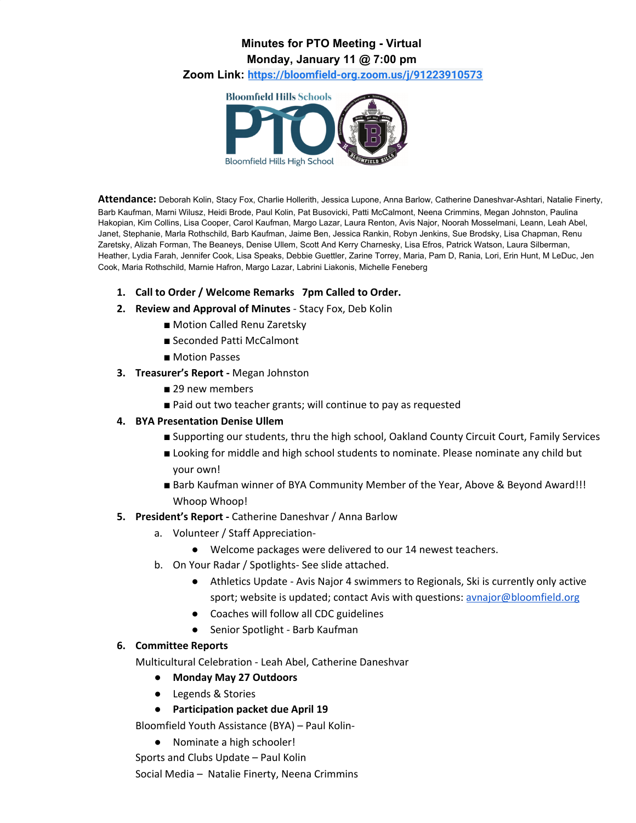## **Minutes for PTO Meeting - Virtual Monday, January 11 @ 7:00 pm**

**Zoom Link: <https://bloomfield-org.zoom.us/j/91223910573>**



**Attendance:** Deborah Kolin, Stacy Fox, Charlie Hollerith, Jessica Lupone, Anna Barlow, Catherine Daneshvar-Ashtari, Natalie Finerty, Barb Kaufman, Marni Wilusz, Heidi Brode, Paul Kolin, Pat Busovicki, Patti McCalmont, Neena Crimmins, Megan Johnston, Paulina Hakopian, Kim Collins, Lisa Cooper, Carol Kaufman, Margo Lazar, Laura Renton, Avis Najor, Noorah Mosselmani, Leann, Leah Abel, Janet, Stephanie, Marla Rothschild, Barb Kaufman, Jaime Ben, Jessica Rankin, Robyn Jenkins, Sue Brodsky, Lisa Chapman, Renu Zaretsky, Alizah Forman, The Beaneys, Denise Ullem, Scott And Kerry Charnesky, Lisa Efros, Patrick Watson, Laura Silberman, Heather, Lydia Farah, Jennifer Cook, Lisa Speaks, Debbie Guettler, Zarine Torrey, Maria, Pam D, Rania, Lori, Erin Hunt, M LeDuc, Jen Cook, Maria Rothschild, Marnie Hafron, Margo Lazar, Labrini Liakonis, Michelle Feneberg

- **1. Call to Order / Welcome Remarks 7pm Called to Order.**
- **2. Review and Approval of Minutes** Stacy Fox, Deb Kolin
	- Motion Called Renu Zaretsky
	- Seconded Patti McCalmont
	- Motion Passes
- **3. Treasurer's Report -** Megan Johnston
	- 29 new members
	- Paid out two teacher grants; will continue to pay as requested
- **4. BYA Presentation Denise Ullem**
	- Supporting our students, thru the high school, Oakland County Circuit Court, Family Services
	- Looking for middle and high school students to nominate. Please nominate any child but your own!
	- Barb Kaufman winner of BYA Community Member of the Year, Above & Beyond Award!!! Whoop Whoop!
- **5. President's Report -** Catherine Daneshvar / Anna Barlow
	- a. Volunteer / Staff Appreciation-
		- Welcome packages were delivered to our 14 newest teachers.
	- b. On Your Radar / Spotlights- See slide attached.
		- Athletics Update Avis Najor 4 swimmers to Regionals, Ski is currently only active sport; website is updated; contact Avis with questions: [avnajor@bloomfield.org](mailto:avnajor@bloomfield.org)
		- Coaches will follow all CDC guidelines
		- Senior Spotlight Barb Kaufman

## **6. Committee Reports**

Multicultural Celebration - Leah Abel, Catherine Daneshvar

- **● Monday May 27 Outdoors**
- Legends & Stories
- **● Participation packet due April 19**

Bloomfield Youth Assistance (BYA) – Paul Kolin-

● Nominate a high schooler!

Sports and Clubs Update – Paul Kolin

Social Media – Natalie Finerty, Neena Crimmins